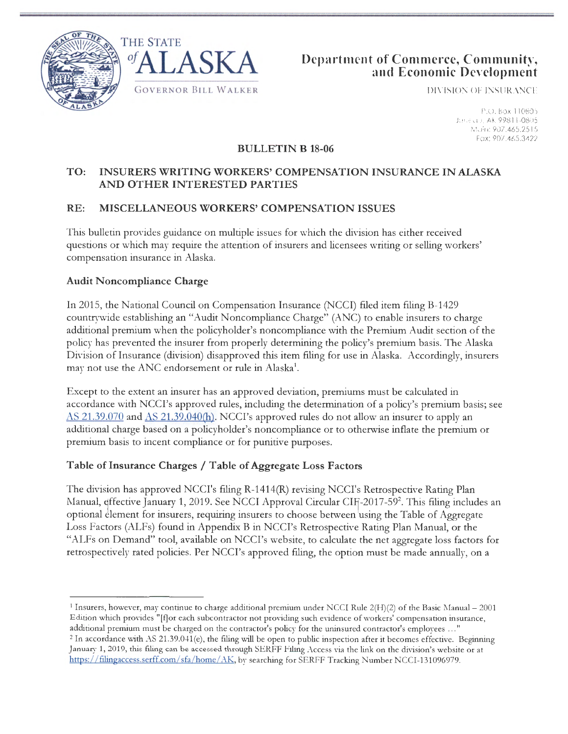





DIVISION OF INSURANCE

P.O. Box 110805 Juneau, AK 99811-0805 Main: 907.465.2515 Fax: 907.465.3422

#### **BULLETIN B 18-06**

## **TO: INSURERS WRITING WORKERS' COMPENSATION INSURANCE IN ALASKA AND OTHER INTERESTED PARTIES**

## **RE: MISCELLANEOUS WORKERS' COMPENSATION ISSUES**

This bulletin provides guidance on multiple issues for which the division has either received questions or which may require the attention of insurers and licensees writing or selling workers' compensation insurance in Alaska.

#### **Audit Noncompliance Charge**

In 2015, the National Council on Compensation Insurance (NCCI) filed item filing B-1429 countrywide establishing an "Audit Noncompliance Charge" (ANC) to enable insurers to charge additional premium when the policyholder's noncompliance with the Premium Audit section of the policy has prevented the insurer from properly determining the policy's premium basis. The Alaska Division of Insurance (division) disapproved this item filing for use in Alaska. Accordingly, insurers may not use the ANC endorsement or rule in Alaska<sup>1</sup>.

Except to the extent an insurer has an approved deviation, premiums must be calculated in accordance with NCCI's approved rules, including the determination of a policy's premium basis; see  $\overline{AS}$  21.39.070 and  $\overline{AS}$  21.39.040(h). NCCI's approved rules do not allow an insurer to apply an additional charge based on a policyholder's noncompliance or to otherwise inflate the premium or premium basis to incent compliance or for punitive purposes.

### Table of Insurance Charges / Table of Aggregate Loss Factors

The division has approved NCCI's filing R-1414(R) revising NCCI's Retrospective Rating Plan 1. The division this approved 1.0013 hing it 1.11 (b) fevising 1.0013 Reliospective Rating 1 mm optional element for insurers, requiring insurers to choose between using the Table of Aggregate Loss Factors (ALFs) found in Appendix B in NCCI's Retrospective Rating Plan Manual, or the "ALFs on Demand" tool, available on NCCI's website, to calculate the net aggregate loss factors for retrospectively rated policies. Per NCCI's approved filing, the option must be made annually, on a

<sup>&</sup>lt;sup>1</sup> Insurers, however, may continue to charge additional premium under NCCI Rule 2(H)(2) of the Basic Manual - 2001 Edition which provides "[f] or each subcontractor not providing such evidence of workers' compensation insurance,

additional premium must be charged on the contractor's policy for the uninsured contractor's employees ..."<br><sup>2</sup> In accordance with AS 21.39.041(e), the filing will be open to public inspection after it becomes effective. B January 1, 2019, this filing can be accessed through SERFF Filing Access via the link on the division's website or at https://filingaccess.serff.com/sfa/home/AK, by searching for SERFF Tracking Number NCCI-131096979.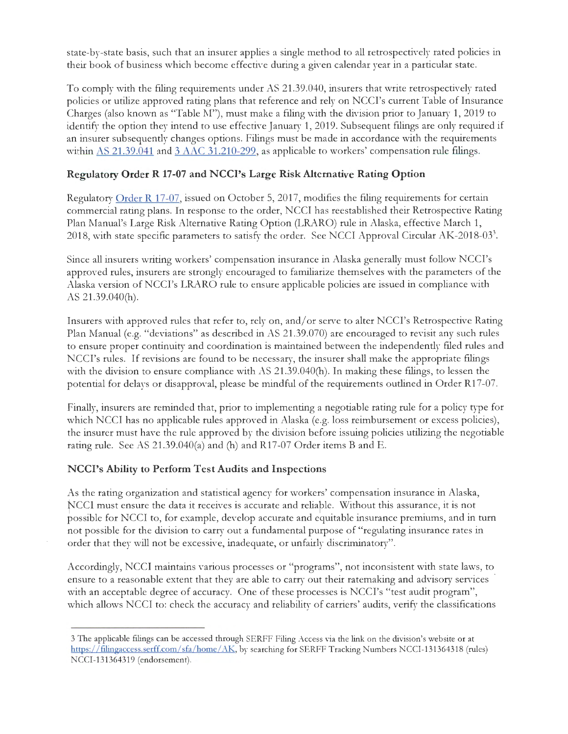state-by-state basis, such that an insurer applies a single method to all retrospectively rated policies in their book of business which become effective during a given calendar year in a particular state.

To comply with the filing requirements under AS 21.39.040, insurers that write retrospectively rated policies or utilize approved rating plans that reference and rely on NCCI's current Table of Insurance Charges (also known as "Table M"), must make a filing with the division prior to January 1, 2019 to identify the option they intend to use effective January 1, 2019. Subsequent filings are only required if an insurer subsequently changes options. Filings must be made in accordance with the requirements within AS 21.39.041 and 3 AAC 31.210-299, as applicable to workers' compensation rule filings.

# **Regulatory Order R 17-07 and NCCl's Large Risk Alternative Rating Option**

Regulatory Order R 17-07, issued on October 5, 2017, modifies the filing requirements for certain commercial rating plans. In response to the order, NCCI has reestablished their Retrospective Rating Plan Manual's Large Risk Alternative Rating Option (LRARO) rule in Alaska, effective March 1, 2018, with state specific parameters to satisfy the order. See NCCI Approval Circular AK-2018-03<sup>3</sup>.

Since all insurers writing workers' compensation insurance in Alaska generally must follow NCCI's approved rules, insurers are strongly encouraged to familiarize themselves with the parameters of the Alaska version of NCCI's LRARO rule to ensure applicable policies are issued in compliance with AS 21.39.040(h).

Insurers with approved rules that refer to, rely on, and/ or serve to alter NCCI's Retrospective Rating Plan Manual (e.g. "deviations" as described in AS 21.39.070) are encouraged to revisit any such rules to ensure proper continuity and coordination is maintained between the independently filed rules and NCCI's rules. If revisions are found to be necessary, the insurer shall make the appropriate filings with the division to ensure compliance with AS 21.39.040(h). In making these filings, to lessen the potential for delays or disapproval, please be mindful of the requirements outlined in Order R17-07.

Finally, insurers are reminded that, prior to implementing a negotiable rating rule for a policy type for which NCCI has no applicable rules approved in Alaska (e.g. loss reimbursement or excess policies), the insurer must have the rule approved by the division before issuing policies utilizing the negotiable rating rule. See AS 21.39.040(a) and (h) and R17-07 Order items B and E.

# **NCCl's Ability to Perform Test Audits and Inspections**

As the rating organization and statistical agency for workers' compensation insurance in Alaska, NCCI must ensure the data it receives is accurate and reliable. Without this assurance, it is not possible for NCCI to, for example, develop accurate and equitable insurance premiums, and in turn not possible for the division to carry out a fundamental purpose of "regulating insurance rates in order that they will not be excessive, inadequate, or unfairly discriminatory".

Accordingly, NCCI maintains various processes or "programs", not inconsistent with state laws, to ensure to a reasonable extent that they are able to carry out their ratemaking and advisory services · with an acceptable degree of accuracy. One of these processes is NCCI's "test audit program", which allows NCCI to: check the accuracy and reliability of carriers' audits, verify the classifications

<sup>3</sup> The applicable filings can be accessed through SERFF Filing Access via the link on the division's website or at https://filingaccess.serff.com/sfa/home/AK, by searching for SERFF Tracking Numbers NCCI-131364318 (rules) NCCI-131364319 (endorsement).